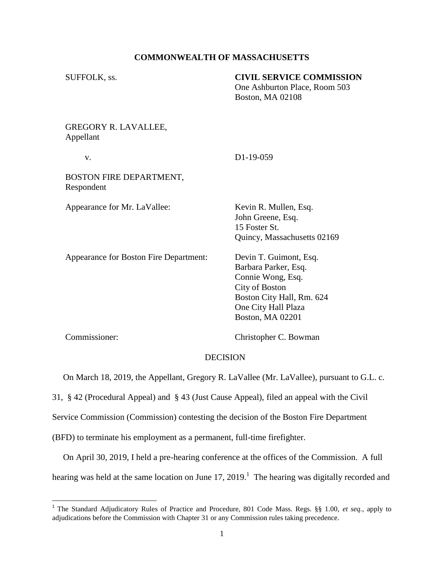#### **COMMONWEALTH OF MASSACHUSETTS**

| SUFFOLK, ss.                             | <b>CIVIL SERVICE COMMISSION</b><br>One Ashburton Place, Room 503<br>Boston, MA 02108                                                                                 |
|------------------------------------------|----------------------------------------------------------------------------------------------------------------------------------------------------------------------|
| <b>GREGORY R. LAVALLEE,</b><br>Appellant |                                                                                                                                                                      |
| V.                                       | D1-19-059                                                                                                                                                            |
| BOSTON FIRE DEPARTMENT,<br>Respondent    |                                                                                                                                                                      |
| Appearance for Mr. LaVallee:             | Kevin R. Mullen, Esq.<br>John Greene, Esq.<br>15 Foster St.<br>Quincy, Massachusetts 02169                                                                           |
| Appearance for Boston Fire Department:   | Devin T. Guimont, Esq.<br>Barbara Parker, Esq.<br>Connie Wong, Esq.<br><b>City of Boston</b><br>Boston City Hall, Rm. 624<br>One City Hall Plaza<br>Boston, MA 02201 |
| Commissioner:                            | Christopher C. Bowman                                                                                                                                                |

## DECISION

On March 18, 2019, the Appellant, Gregory R. LaVallee (Mr. LaVallee), pursuant to G.L. c.

31, § 42 (Procedural Appeal) and § 43 (Just Cause Appeal), filed an appeal with the Civil

Service Commission (Commission) contesting the decision of the Boston Fire Department

(BFD) to terminate his employment as a permanent, full-time firefighter.

 On April 30, 2019, I held a pre-hearing conference at the offices of the Commission. A full hearing was held at the same location on June  $17, 2019$ .<sup>1</sup> The hearing was digitally recorded and

 1 The Standard Adjudicatory Rules of Practice and Procedure, 801 Code Mass. Regs. §§ 1.00, *et seq.*, apply to adjudications before the Commission with Chapter 31 or any Commission rules taking precedence.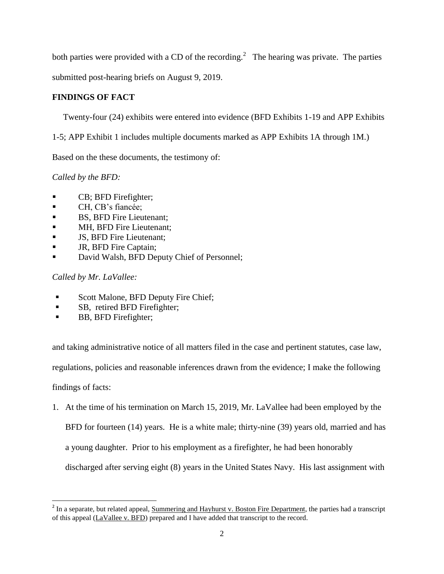both parties were provided with a CD of the recording.<sup>2</sup> The hearing was private. The parties

submitted post-hearing briefs on August 9, 2019.

# **FINDINGS OF FACT**

Twenty-four (24) exhibits were entered into evidence (BFD Exhibits 1-19 and APP Exhibits

1-5; APP Exhibit 1 includes multiple documents marked as APP Exhibits 1A through 1M.)

Based on the these documents, the testimony of:

*Called by the BFD:*

- CB; BFD Firefighter;
- CH, CB's fiancée;
- BS, BFD Fire Lieutenant;
- **MH, BFD Fire Lieutenant;**
- **JS, BFD Fire Lieutenant;**
- JR, BFD Fire Captain;
- David Walsh, BFD Deputy Chief of Personnel;

*Called by Mr. LaVallee:*

- Scott Malone, BFD Deputy Fire Chief;
- **SB, retired BFD Firefighter;**
- **BB, BFD Firefighter;**

and taking administrative notice of all matters filed in the case and pertinent statutes, case law,

regulations, policies and reasonable inferences drawn from the evidence; I make the following

findings of facts:

1. At the time of his termination on March 15, 2019, Mr. LaVallee had been employed by the BFD for fourteen (14) years. He is a white male; thirty-nine (39) years old, married and has a young daughter. Prior to his employment as a firefighter, he had been honorably

discharged after serving eight (8) years in the United States Navy. His last assignment with

<sup>&</sup>lt;sup>2</sup> In a separate, but related appeal, Summering and Hayhurst v. Boston Fire Department, the parties had a transcript of this appeal (LaVallee v. BFD) prepared and I have added that transcript to the record.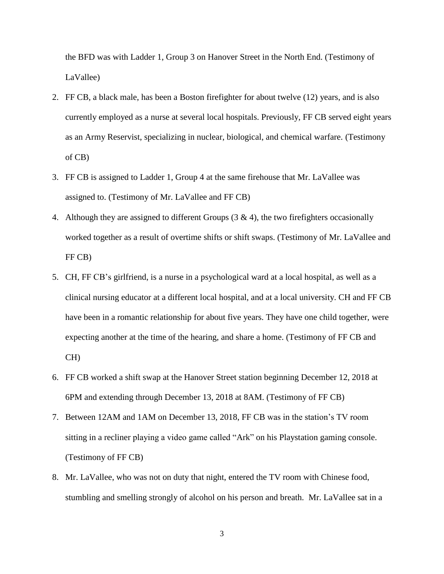the BFD was with Ladder 1, Group 3 on Hanover Street in the North End. (Testimony of LaVallee)

- 2. FF CB, a black male, has been a Boston firefighter for about twelve (12) years, and is also currently employed as a nurse at several local hospitals. Previously, FF CB served eight years as an Army Reservist, specializing in nuclear, biological, and chemical warfare. (Testimony of CB)
- 3. FF CB is assigned to Ladder 1, Group 4 at the same firehouse that Mr. LaVallee was assigned to. (Testimony of Mr. LaVallee and FF CB)
- 4. Although they are assigned to different Groups  $(3 \& 4)$ , the two firefighters occasionally worked together as a result of overtime shifts or shift swaps. (Testimony of Mr. LaVallee and FF CB)
- 5. CH, FF CB's girlfriend, is a nurse in a psychological ward at a local hospital, as well as a clinical nursing educator at a different local hospital, and at a local university. CH and FF CB have been in a romantic relationship for about five years. They have one child together, were expecting another at the time of the hearing, and share a home. (Testimony of FF CB and CH)
- 6. FF CB worked a shift swap at the Hanover Street station beginning December 12, 2018 at 6PM and extending through December 13, 2018 at 8AM. (Testimony of FF CB)
- 7. Between 12AM and 1AM on December 13, 2018, FF CB was in the station's TV room sitting in a recliner playing a video game called "Ark" on his Playstation gaming console. (Testimony of FF CB)
- 8. Mr. LaVallee, who was not on duty that night, entered the TV room with Chinese food, stumbling and smelling strongly of alcohol on his person and breath. Mr. LaVallee sat in a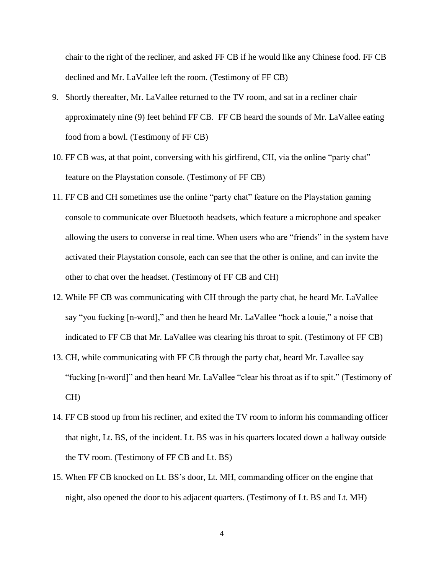chair to the right of the recliner, and asked FF CB if he would like any Chinese food. FF CB declined and Mr. LaVallee left the room. (Testimony of FF CB)

- 9. Shortly thereafter, Mr. LaVallee returned to the TV room, and sat in a recliner chair approximately nine (9) feet behind FF CB. FF CB heard the sounds of Mr. LaVallee eating food from a bowl. (Testimony of FF CB)
- 10. FF CB was, at that point, conversing with his girlfirend, CH, via the online "party chat" feature on the Playstation console. (Testimony of FF CB)
- 11. FF CB and CH sometimes use the online "party chat" feature on the Playstation gaming console to communicate over Bluetooth headsets, which feature a microphone and speaker allowing the users to converse in real time. When users who are "friends" in the system have activated their Playstation console, each can see that the other is online, and can invite the other to chat over the headset. (Testimony of FF CB and CH)
- 12. While FF CB was communicating with CH through the party chat, he heard Mr. LaVallee say "you fucking [n-word]," and then he heard Mr. LaVallee "hock a louie," a noise that indicated to FF CB that Mr. LaVallee was clearing his throat to spit. (Testimony of FF CB)
- 13. CH, while communicating with FF CB through the party chat, heard Mr. Lavallee say "fucking [n-word]" and then heard Mr. LaVallee "clear his throat as if to spit." (Testimony of CH)
- 14. FF CB stood up from his recliner, and exited the TV room to inform his commanding officer that night, Lt. BS, of the incident. Lt. BS was in his quarters located down a hallway outside the TV room. (Testimony of FF CB and Lt. BS)
- 15. When FF CB knocked on Lt. BS's door, Lt. MH, commanding officer on the engine that night, also opened the door to his adjacent quarters. (Testimony of Lt. BS and Lt. MH)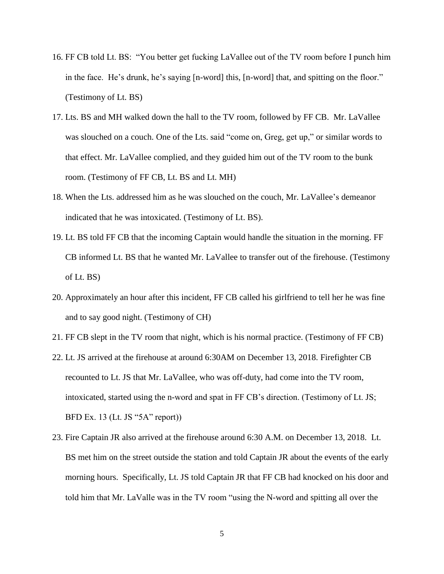- 16. FF CB told Lt. BS: "You better get fucking LaVallee out of the TV room before I punch him in the face. He's drunk, he's saying [n-word] this, [n-word] that, and spitting on the floor." (Testimony of Lt. BS)
- 17. Lts. BS and MH walked down the hall to the TV room, followed by FF CB. Mr. LaVallee was slouched on a couch. One of the Lts. said "come on, Greg, get up," or similar words to that effect. Mr. LaVallee complied, and they guided him out of the TV room to the bunk room. (Testimony of FF CB, Lt. BS and Lt. MH)
- 18. When the Lts. addressed him as he was slouched on the couch, Mr. LaVallee's demeanor indicated that he was intoxicated. (Testimony of Lt. BS).
- 19. Lt. BS told FF CB that the incoming Captain would handle the situation in the morning. FF CB informed Lt. BS that he wanted Mr. LaVallee to transfer out of the firehouse. (Testimony of Lt. BS)
- 20. Approximately an hour after this incident, FF CB called his girlfriend to tell her he was fine and to say good night. (Testimony of CH)
- 21. FF CB slept in the TV room that night, which is his normal practice. (Testimony of FF CB)
- 22. Lt. JS arrived at the firehouse at around 6:30AM on December 13, 2018. Firefighter CB recounted to Lt. JS that Mr. LaVallee, who was off-duty, had come into the TV room, intoxicated, started using the n-word and spat in FF CB's direction. (Testimony of Lt. JS; BFD Ex. 13 (Lt. JS "5A" report))
- 23. Fire Captain JR also arrived at the firehouse around 6:30 A.M. on December 13, 2018. Lt. BS met him on the street outside the station and told Captain JR about the events of the early morning hours. Specifically, Lt. JS told Captain JR that FF CB had knocked on his door and told him that Mr. LaValle was in the TV room "using the N-word and spitting all over the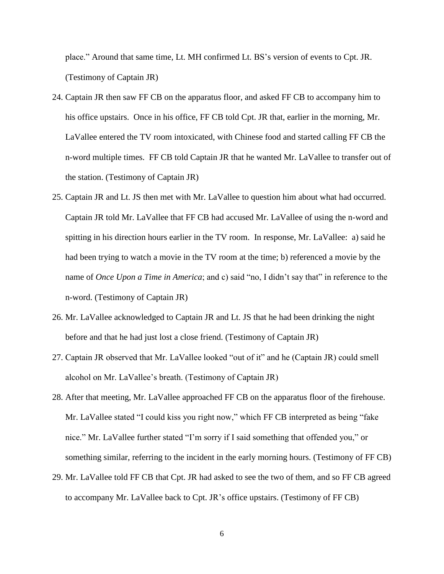place." Around that same time, Lt. MH confirmed Lt. BS's version of events to Cpt. JR. (Testimony of Captain JR)

- 24. Captain JR then saw FF CB on the apparatus floor, and asked FF CB to accompany him to his office upstairs. Once in his office, FF CB told Cpt. JR that, earlier in the morning, Mr. LaVallee entered the TV room intoxicated, with Chinese food and started calling FF CB the n-word multiple times. FF CB told Captain JR that he wanted Mr. LaVallee to transfer out of the station. (Testimony of Captain JR)
- 25. Captain JR and Lt. JS then met with Mr. LaVallee to question him about what had occurred. Captain JR told Mr. LaVallee that FF CB had accused Mr. LaVallee of using the n-word and spitting in his direction hours earlier in the TV room. In response, Mr. LaVallee: a) said he had been trying to watch a movie in the TV room at the time; b) referenced a movie by the name of *Once Upon a Time in America*; and c) said "no, I didn't say that" in reference to the n-word. (Testimony of Captain JR)
- 26. Mr. LaVallee acknowledged to Captain JR and Lt. JS that he had been drinking the night before and that he had just lost a close friend. (Testimony of Captain JR)
- 27. Captain JR observed that Mr. LaVallee looked "out of it" and he (Captain JR) could smell alcohol on Mr. LaVallee's breath. (Testimony of Captain JR)
- 28. After that meeting, Mr. LaVallee approached FF CB on the apparatus floor of the firehouse. Mr. LaVallee stated "I could kiss you right now," which FF CB interpreted as being "fake nice." Mr. LaVallee further stated "I'm sorry if I said something that offended you," or something similar, referring to the incident in the early morning hours. (Testimony of FF CB)
- 29. Mr. LaVallee told FF CB that Cpt. JR had asked to see the two of them, and so FF CB agreed to accompany Mr. LaVallee back to Cpt. JR's office upstairs. (Testimony of FF CB)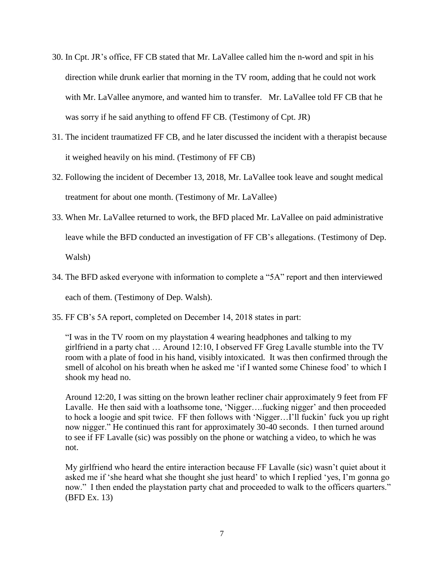- 30. In Cpt. JR's office, FF CB stated that Mr. LaVallee called him the n-word and spit in his direction while drunk earlier that morning in the TV room, adding that he could not work with Mr. LaVallee anymore, and wanted him to transfer. Mr. LaVallee told FF CB that he was sorry if he said anything to offend FF CB. (Testimony of Cpt. JR)
- 31. The incident traumatized FF CB, and he later discussed the incident with a therapist because it weighed heavily on his mind. (Testimony of FF CB)
- 32. Following the incident of December 13, 2018, Mr. LaVallee took leave and sought medical treatment for about one month. (Testimony of Mr. LaVallee)
- 33. When Mr. LaVallee returned to work, the BFD placed Mr. LaVallee on paid administrative leave while the BFD conducted an investigation of FF CB's allegations. (Testimony of Dep. Walsh)
- 34. The BFD asked everyone with information to complete a "5A" report and then interviewed each of them. (Testimony of Dep. Walsh).
- 35. FF CB's 5A report, completed on December 14, 2018 states in part:

"I was in the TV room on my playstation 4 wearing headphones and talking to my girlfriend in a party chat … Around 12:10, I observed FF Greg Lavalle stumble into the TV room with a plate of food in his hand, visibly intoxicated. It was then confirmed through the smell of alcohol on his breath when he asked me 'if I wanted some Chinese food' to which I shook my head no.

Around 12:20, I was sitting on the brown leather recliner chair approximately 9 feet from FF Lavalle. He then said with a loathsome tone, 'Nigger….fucking nigger' and then proceeded to hock a loogie and spit twice. FF then follows with 'Nigger…I'll fuckin' fuck you up right now nigger." He continued this rant for approximately 30-40 seconds. I then turned around to see if FF Lavalle (sic) was possibly on the phone or watching a video, to which he was not.

My girlfriend who heard the entire interaction because FF Lavalle (sic) wasn't quiet about it asked me if 'she heard what she thought she just heard' to which I replied 'yes, I'm gonna go now." I then ended the playstation party chat and proceeded to walk to the officers quarters." (BFD Ex. 13)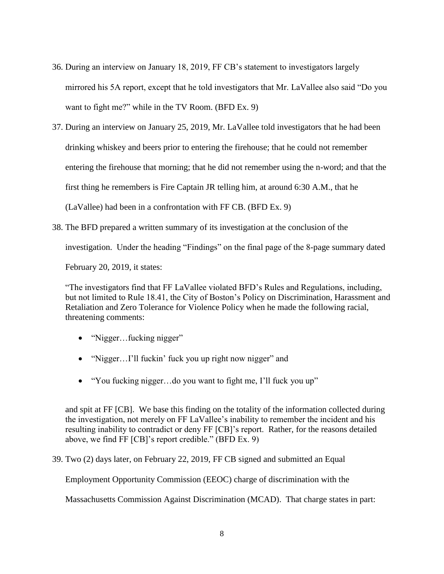- 36. During an interview on January 18, 2019, FF CB's statement to investigators largely mirrored his 5A report, except that he told investigators that Mr. LaVallee also said "Do you want to fight me?" while in the TV Room. (BFD Ex. 9)
- 37. During an interview on January 25, 2019, Mr. LaVallee told investigators that he had been drinking whiskey and beers prior to entering the firehouse; that he could not remember entering the firehouse that morning; that he did not remember using the n-word; and that the first thing he remembers is Fire Captain JR telling him, at around 6:30 A.M., that he (LaVallee) had been in a confrontation with FF CB. (BFD Ex. 9)
- 38. The BFD prepared a written summary of its investigation at the conclusion of the

investigation. Under the heading "Findings" on the final page of the 8-page summary dated

February 20, 2019, it states:

"The investigators find that FF LaVallee violated BFD's Rules and Regulations, including, but not limited to Rule 18.41, the City of Boston's Policy on Discrimination, Harassment and Retaliation and Zero Tolerance for Violence Policy when he made the following racial, threatening comments:

- "Nigger...fucking nigger"
- "Nigger...I'll fuckin' fuck you up right now nigger" and
- "You fucking nigger...do you want to fight me, I'll fuck you up"

and spit at FF [CB]. We base this finding on the totality of the information collected during the investigation, not merely on FF LaVallee's inability to remember the incident and his resulting inability to contradict or deny FF [CB]'s report. Rather, for the reasons detailed above, we find FF [CB]'s report credible." (BFD Ex. 9)

39. Two (2) days later, on February 22, 2019, FF CB signed and submitted an Equal

Employment Opportunity Commission (EEOC) charge of discrimination with the

Massachusetts Commission Against Discrimination (MCAD). That charge states in part: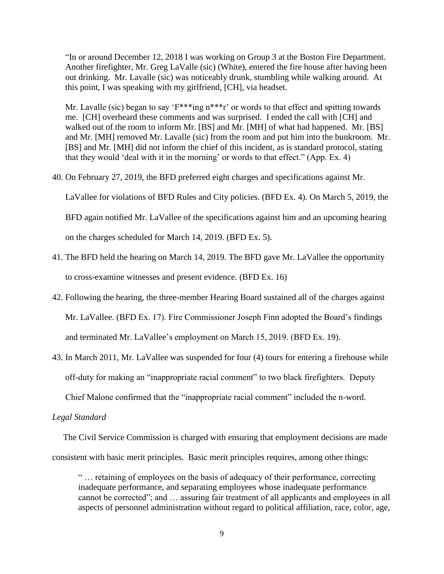"In or around December 12, 2018 I was working on Group 3 at the Boston Fire Department. Another firefighter, Mr. Greg LaValle (sic) (White), entered the fire house after having been out drinking. Mr. Lavalle (sic) was noticeably drunk, stumbling while walking around. At this point, I was speaking with my girlfriend, [CH], via headset.

Mr. Lavalle (sic) began to say 'F\*\*\*ing n\*\*\*r' or words to that effect and spitting towards me. [CH] overheard these comments and was surprised. I ended the call with [CH] and walked out of the room to inform Mr. [BS] and Mr. [MH] of what had happened. Mr. [BS] and Mr. [MH] removed Mr. Lavalle (sic) from the room and put him into the bunkroom. Mr. [BS] and Mr. [MH] did not inform the chief of this incident, as is standard protocol, stating that they would 'deal with it in the morning' or words to that effect." (App. Ex. 4)

40. On February 27, 2019, the BFD preferred eight charges and specifications against Mr.

LaVallee for violations of BFD Rules and City policies. (BFD Ex. 4). On March 5, 2019, the

BFD again notified Mr. LaVallee of the specifications against him and an upcoming hearing

on the charges scheduled for March 14, 2019. (BFD Ex. 5).

- 41. The BFD held the hearing on March 14, 2019. The BFD gave Mr. LaVallee the opportunity to cross-examine witnesses and present evidence. (BFD Ex. 16)
- 42. Following the hearing, the three-member Hearing Board sustained all of the charges against Mr. LaVallee. (BFD Ex. 17). Fire Commissioner Joseph Finn adopted the Board's findings and terminated Mr. LaVallee's employment on March 15, 2019. (BFD Ex. 19).
- 43. In March 2011, Mr. LaVallee was suspended for four (4) tours for entering a firehouse while off-duty for making an "inappropriate racial comment" to two black firefighters. Deputy

Chief Malone confirmed that the "inappropriate racial comment" included the n-word.

### *Legal Standard*

 The Civil Service Commission is charged with ensuring that employment decisions are made consistent with basic merit principles. Basic merit principles requires, among other things:

" … retaining of employees on the basis of adequacy of their performance, correcting inadequate performance, and separating employees whose inadequate performance cannot be corrected"; and … assuring fair treatment of all applicants and employees in all aspects of personnel administration without regard to political affiliation, race, color, age,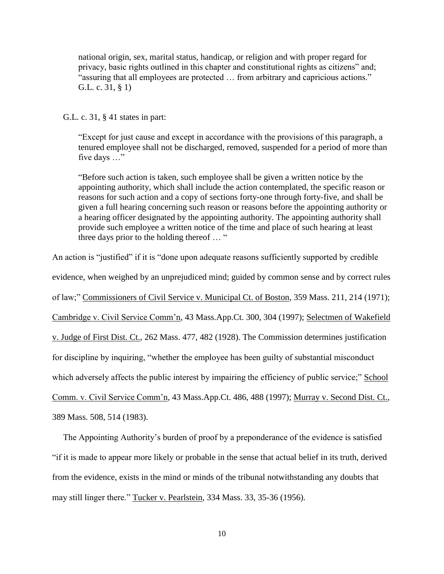national origin, sex, marital status, handicap, or religion and with proper regard for privacy, basic rights outlined in this chapter and constitutional rights as citizens" and; "assuring that all employees are protected … from arbitrary and capricious actions." G.L. c. 31, § 1)

G.L. c. 31, § 41 states in part:

"Except for just cause and except in accordance with the provisions of this paragraph, a tenured employee shall not be discharged, removed, suspended for a period of more than five days …"

"Before such action is taken, such employee shall be given a written notice by the appointing authority, which shall include the action contemplated, the specific reason or reasons for such action and a copy of sections forty-one through forty-five, and shall be given a full hearing concerning such reason or reasons before the appointing authority or a hearing officer designated by the appointing authority. The appointing authority shall provide such employee a written notice of the time and place of such hearing at least three days prior to the holding thereof … "

An action is "justified" if it is "done upon adequate reasons sufficiently supported by credible

evidence, when weighed by an unprejudiced mind; guided by common sense and by correct rules

of law;" Commissioners of Civil Service v. Municipal Ct. of Boston, 359 Mass. 211, 214 (1971);

Cambridge v. Civil Service Comm'n, 43 Mass.App.Ct. 300, 304 (1997); Selectmen of Wakefield

v. Judge of First Dist. Ct., 262 Mass. 477, 482 (1928). The Commission determines justification

for discipline by inquiring, "whether the employee has been guilty of substantial misconduct

which adversely affects the public interest by impairing the efficiency of public service;" School

Comm. v. Civil Service Comm'n, 43 Mass.App.Ct. 486, 488 (1997); Murray v. Second Dist. Ct.,

389 Mass. 508, 514 (1983).

 The Appointing Authority's burden of proof by a preponderance of the evidence is satisfied "if it is made to appear more likely or probable in the sense that actual belief in its truth, derived from the evidence, exists in the mind or minds of the tribunal notwithstanding any doubts that may still linger there." Tucker v. Pearlstein, 334 Mass. 33, 35-36 (1956).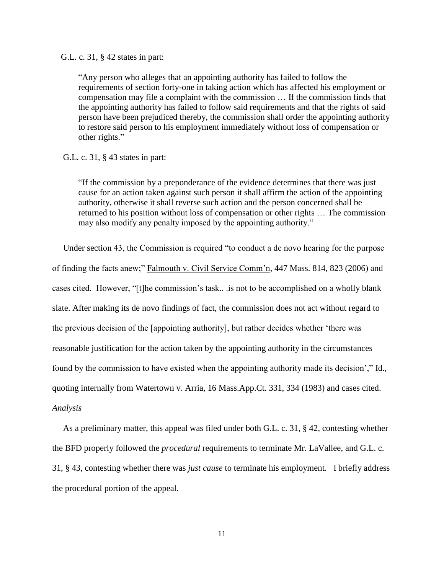G.L. c. 31, § 42 states in part:

"Any person who alleges that an appointing authority has failed to follow the requirements of section forty-one in taking action which has affected his employment or compensation may file a complaint with the commission … If the commission finds that the appointing authority has failed to follow said requirements and that the rights of said person have been prejudiced thereby, the commission shall order the appointing authority to restore said person to his employment immediately without loss of compensation or other rights."

#### G.L. c. 31, § 43 states in part:

"If the commission by a preponderance of the evidence determines that there was just cause for an action taken against such person it shall affirm the action of the appointing authority, otherwise it shall reverse such action and the person concerned shall be returned to his position without loss of compensation or other rights … The commission may also modify any penalty imposed by the appointing authority."

 Under section 43, the Commission is required "to conduct a de novo hearing for the purpose of finding the facts anew;" Falmouth v. Civil Service Comm'n, 447 Mass. 814, 823 (2006) and cases cited. However, "[t]he commission's task.. .is not to be accomplished on a wholly blank slate. After making its de novo findings of fact, the commission does not act without regard to the previous decision of the [appointing authority], but rather decides whether 'there was reasonable justification for the action taken by the appointing authority in the circumstances found by the commission to have existed when the appointing authority made its decision'," Id., quoting internally from Watertown v. Arria, 16 Mass.App.Ct. 331, 334 (1983) and cases cited. *Analysis*

 As a preliminary matter, this appeal was filed under both G.L. c. 31, § 42, contesting whether the BFD properly followed the *procedural* requirements to terminate Mr. LaVallee, and G.L. c. 31, § 43, contesting whether there was *just cause* to terminate his employment. I briefly address the procedural portion of the appeal.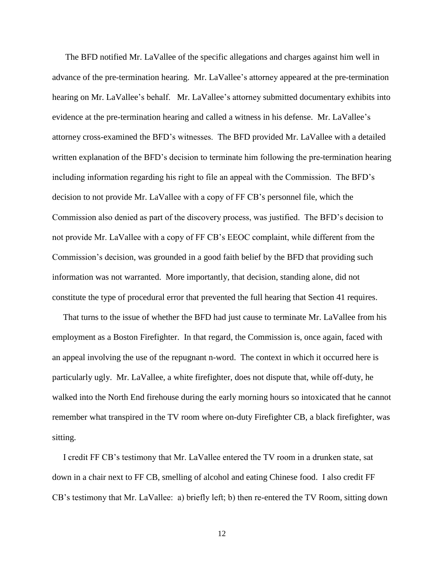The BFD notified Mr. LaVallee of the specific allegations and charges against him well in advance of the pre-termination hearing. Mr. LaVallee's attorney appeared at the pre-termination hearing on Mr. LaVallee's behalf. Mr. LaVallee's attorney submitted documentary exhibits into evidence at the pre-termination hearing and called a witness in his defense. Mr. LaVallee's attorney cross-examined the BFD's witnesses. The BFD provided Mr. LaVallee with a detailed written explanation of the BFD's decision to terminate him following the pre-termination hearing including information regarding his right to file an appeal with the Commission. The BFD's decision to not provide Mr. LaVallee with a copy of FF CB's personnel file, which the Commission also denied as part of the discovery process, was justified. The BFD's decision to not provide Mr. LaVallee with a copy of FF CB's EEOC complaint, while different from the Commission's decision, was grounded in a good faith belief by the BFD that providing such information was not warranted. More importantly, that decision, standing alone, did not constitute the type of procedural error that prevented the full hearing that Section 41 requires.

 That turns to the issue of whether the BFD had just cause to terminate Mr. LaVallee from his employment as a Boston Firefighter. In that regard, the Commission is, once again, faced with an appeal involving the use of the repugnant n-word. The context in which it occurred here is particularly ugly. Mr. LaVallee, a white firefighter, does not dispute that, while off-duty, he walked into the North End firehouse during the early morning hours so intoxicated that he cannot remember what transpired in the TV room where on-duty Firefighter CB, a black firefighter, was sitting.

 I credit FF CB's testimony that Mr. LaVallee entered the TV room in a drunken state, sat down in a chair next to FF CB, smelling of alcohol and eating Chinese food. I also credit FF CB's testimony that Mr. LaVallee: a) briefly left; b) then re-entered the TV Room, sitting down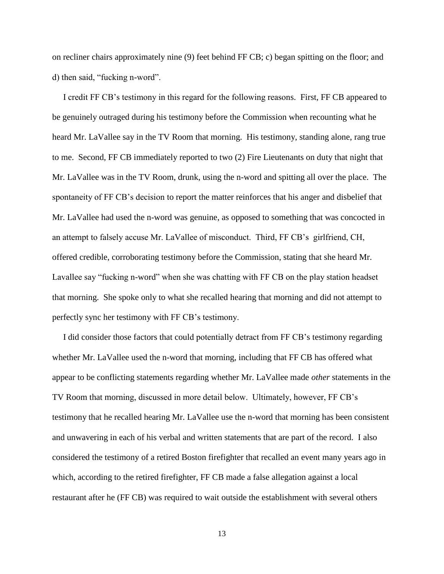on recliner chairs approximately nine (9) feet behind FF CB; c) began spitting on the floor; and d) then said, "fucking n-word".

 I credit FF CB's testimony in this regard for the following reasons. First, FF CB appeared to be genuinely outraged during his testimony before the Commission when recounting what he heard Mr. LaVallee say in the TV Room that morning. His testimony, standing alone, rang true to me. Second, FF CB immediately reported to two (2) Fire Lieutenants on duty that night that Mr. LaVallee was in the TV Room, drunk, using the n-word and spitting all over the place. The spontaneity of FF CB's decision to report the matter reinforces that his anger and disbelief that Mr. LaVallee had used the n-word was genuine, as opposed to something that was concocted in an attempt to falsely accuse Mr. LaVallee of misconduct. Third, FF CB's girlfriend, CH, offered credible, corroborating testimony before the Commission, stating that she heard Mr. Lavallee say "fucking n-word" when she was chatting with FF CB on the play station headset that morning. She spoke only to what she recalled hearing that morning and did not attempt to perfectly sync her testimony with FF CB's testimony.

 I did consider those factors that could potentially detract from FF CB's testimony regarding whether Mr. LaVallee used the n-word that morning, including that FF CB has offered what appear to be conflicting statements regarding whether Mr. LaVallee made *other* statements in the TV Room that morning, discussed in more detail below. Ultimately, however, FF CB's testimony that he recalled hearing Mr. LaVallee use the n-word that morning has been consistent and unwavering in each of his verbal and written statements that are part of the record. I also considered the testimony of a retired Boston firefighter that recalled an event many years ago in which, according to the retired firefighter, FF CB made a false allegation against a local restaurant after he (FF CB) was required to wait outside the establishment with several others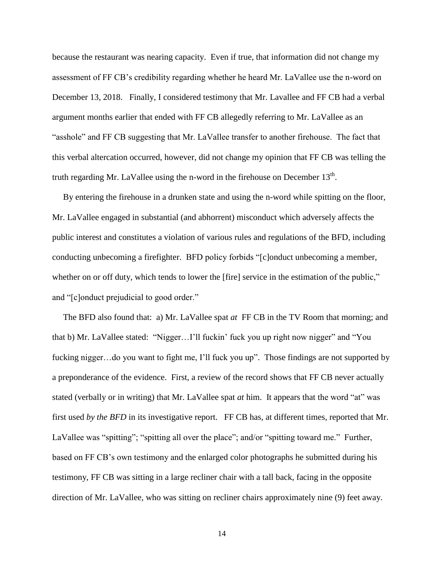because the restaurant was nearing capacity. Even if true, that information did not change my assessment of FF CB's credibility regarding whether he heard Mr. LaVallee use the n-word on December 13, 2018. Finally, I considered testimony that Mr. Lavallee and FF CB had a verbal argument months earlier that ended with FF CB allegedly referring to Mr. LaVallee as an "asshole" and FF CB suggesting that Mr. LaVallee transfer to another firehouse. The fact that this verbal altercation occurred, however, did not change my opinion that FF CB was telling the truth regarding Mr. LaVallee using the n-word in the firehouse on December  $13<sup>th</sup>$ .

 By entering the firehouse in a drunken state and using the n-word while spitting on the floor, Mr. LaVallee engaged in substantial (and abhorrent) misconduct which adversely affects the public interest and constitutes a violation of various rules and regulations of the BFD, including conducting unbecoming a firefighter. BFD policy forbids "[c]onduct unbecoming a member, whether on or off duty, which tends to lower the [fire] service in the estimation of the public," and "[c]onduct prejudicial to good order."

 The BFD also found that: a) Mr. LaVallee spat *at* FF CB in the TV Room that morning; and that b) Mr. LaVallee stated: "Nigger…I'll fuckin' fuck you up right now nigger" and "You fucking nigger...do you want to fight me, I'll fuck you up". Those findings are not supported by a preponderance of the evidence. First, a review of the record shows that FF CB never actually stated (verbally or in writing) that Mr. LaVallee spat *at* him. It appears that the word "at" was first used *by the BFD* in its investigative report. FF CB has, at different times, reported that Mr. LaVallee was "spitting"; "spitting all over the place"; and/or "spitting toward me." Further, based on FF CB's own testimony and the enlarged color photographs he submitted during his testimony, FF CB was sitting in a large recliner chair with a tall back, facing in the opposite direction of Mr. LaVallee, who was sitting on recliner chairs approximately nine (9) feet away.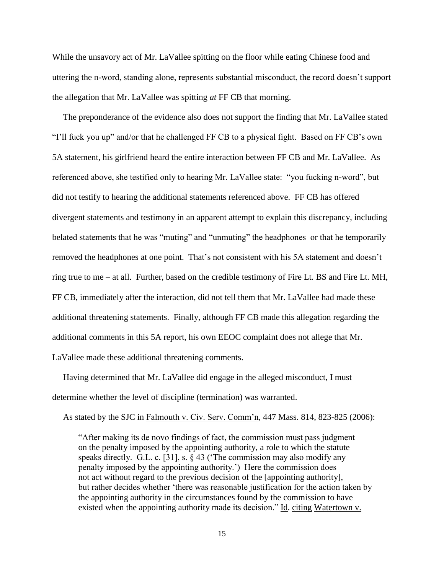While the unsavory act of Mr. LaVallee spitting on the floor while eating Chinese food and uttering the n-word, standing alone, represents substantial misconduct, the record doesn't support the allegation that Mr. LaVallee was spitting *at* FF CB that morning.

 The preponderance of the evidence also does not support the finding that Mr. LaVallee stated "I'll fuck you up" and/or that he challenged FF CB to a physical fight. Based on FF CB's own 5A statement, his girlfriend heard the entire interaction between FF CB and Mr. LaVallee. As referenced above, she testified only to hearing Mr. LaVallee state: "you fucking n-word", but did not testify to hearing the additional statements referenced above. FF CB has offered divergent statements and testimony in an apparent attempt to explain this discrepancy, including belated statements that he was "muting" and "unmuting" the headphones or that he temporarily removed the headphones at one point. That's not consistent with his 5A statement and doesn't ring true to me – at all. Further, based on the credible testimony of Fire Lt. BS and Fire Lt. MH, FF CB, immediately after the interaction, did not tell them that Mr. LaVallee had made these additional threatening statements. Finally, although FF CB made this allegation regarding the additional comments in this 5A report, his own EEOC complaint does not allege that Mr. LaVallee made these additional threatening comments.

 Having determined that Mr. LaVallee did engage in the alleged misconduct, I must determine whether the level of discipline (termination) was warranted.

As stated by the SJC in Falmouth v. Civ. Serv. Comm'n, 447 Mass. 814, 823-825 (2006):

 "After making its de novo findings of fact, the commission must pass judgment on the penalty imposed by the appointing authority, a role to which the statute speaks directly. G.L. c. [31], s. § 43 ('The commission may also modify any penalty imposed by the appointing authority.') Here the commission does not act without regard to the previous decision of the [appointing authority], but rather decides whether 'there was reasonable justification for the action taken by the appointing authority in the circumstances found by the commission to have existed when the appointing authority made its decision." Id. citing Watertown v.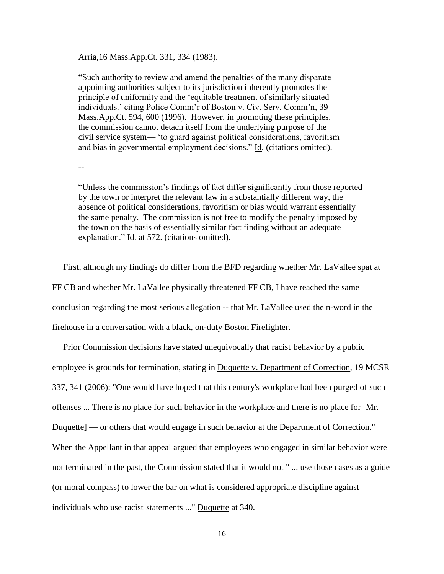Arria,16 Mass.App.Ct. 331, 334 (1983).

"Such authority to review and amend the penalties of the many disparate appointing authorities subject to its jurisdiction inherently promotes the principle of uniformity and the 'equitable treatment of similarly situated individuals.' citing Police Comm'r of Boston v. Civ. Serv. Comm'n, 39 Mass.App.Ct. 594, 600 (1996). However, in promoting these principles, the commission cannot detach itself from the underlying purpose of the civil service system— 'to guard against political considerations, favoritism and bias in governmental employment decisions." Id. (citations omitted).

--

"Unless the commission's findings of fact differ significantly from those reported by the town or interpret the relevant law in a substantially different way, the absence of political considerations, favoritism or bias would warrant essentially the same penalty. The commission is not free to modify the penalty imposed by the town on the basis of essentially similar fact finding without an adequate explanation." Id. at 572. (citations omitted).

 First, although my findings do differ from the BFD regarding whether Mr. LaVallee spat at FF CB and whether Mr. LaVallee physically threatened FF CB, I have reached the same conclusion regarding the most serious allegation -- that Mr. LaVallee used the n-word in the firehouse in a conversation with a black, on-duty Boston Firefighter.

 Prior Commission decisions have stated unequivocally that [r](http://sll.gvpi.net/document.php?id=csc:csc19b-8&type=hitlist&num=17#hit21)acist behavior by a public employee is grounds for termination, stating in Duquette v. Department of Correction, 19 MCSR 337, 341 (2006): "One would have hoped that this century's workplace had been purged of such offenses ... There is no place for such behavior in the workplace and there is no place for [Mr. Duquette] — or others that would engage in such behavior at the Department of Correction." When the Appellant in that appeal argued that employees who engaged in similar behavior were not terminated in the past, the Commission stated that it would not " ... use those cases as a guide (or moral compass) to lower the bar on what is considered appropriate discipline against individuals who use [r](http://sll.gvpi.net/document.php?id=csc:csc19b-8&type=hitlist&num=17#hit22)acist statements ..." Duquette at 340.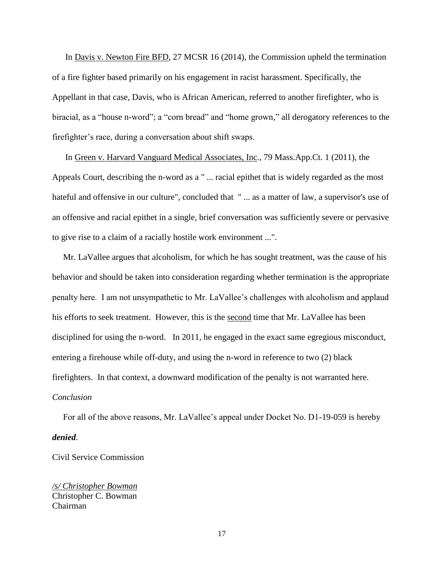In Davis v. Newton Fire BFD, 27 MCSR 16 (2014), the Commission upheld the termination of a fire fighter based primarily on his engagement in racist harassment. Specifically, the Appellant in that case, Davis, who is African American, referred to another firefighter, who is biracial, as a "house n-word"; a "corn bread" and "home grown," all derogatory references to the firefighter's race, during a conversation about shift swaps.

 In Green v. Harvard Vanguard Medical Associates, Inc., 79 Mass.App.Ct. 1 (2011), the Appeals Court, describing the n-word as a " ... racial epithet that is widely regarded as the most hateful and offensive in our culture", concluded that " ... as a matter of law, a supervisor's use of an offensive and racial epithet in a single, brief conversation was sufficiently severe or pervasive to give rise to a claim of a racially hostile work environment ...".

 Mr. LaVallee argues that alcoholism, for which he has sought treatment, was the cause of his behavior and should be taken into consideration regarding whether termination is the appropriate penalty here. I am not unsympathetic to Mr. LaVallee's challenges with alcoholism and applaud his efforts to seek treatment. However, this is the second time that Mr. LaVallee has been disciplined for using the n-word. In 2011, he engaged in the exact same egregious misconduct, entering a firehouse while off-duty, and using the n-word in reference to two (2) black firefighters. In that context, a downward modification of the penalty is not warranted here. *Conclusion*

 For all of the above reasons, Mr. LaVallee's appeal under Docket No. D1-19-059 is hereby *denied*.

Civil Service Commission

*/s/ Christopher Bowman* Christopher C. Bowman Chairman